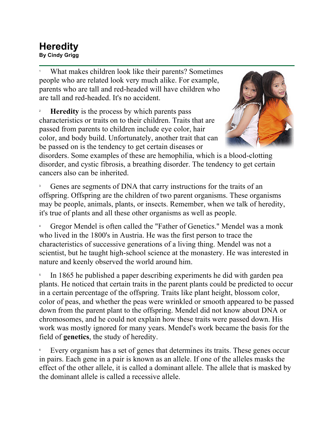## **Heredity By Cindy Grigg**

1 What makes children look like their parents? Sometimes people who are related look very much alike. For example, parents who are tall and red-headed will have children who are tall and red-headed. It's no accident.

2 **Heredity** is the process by which parents pass characteristics or traits on to their children. Traits that are passed from parents to children include eye color, hair color, and body build. Unfortunately, another trait that can be passed on is the tendency to get certain diseases or



disorders. Some examples of these are hemophilia, which is a blood-clotting disorder, and cystic fibrosis, a breathing disorder. The tendency to get certain cancers also can be inherited.

3 Genes are segments of DNA that carry instructions for the traits of an offspring. Offspring are the children of two parent organisms. These organisms may be people, animals, plants, or insects. Remember, when we talk of heredity, it's true of plants and all these other organisms as well as people.

4 Gregor Mendel is often called the "Father of Genetics." Mendel was a monk who lived in the 1800's in Austria. He was the first person to trace the characteristics of successive generations of a living thing. Mendel was not a scientist, but he taught high-school science at the monastery. He was interested in nature and keenly observed the world around him.

5 In 1865 he published a paper describing experiments he did with garden pea plants. He noticed that certain traits in the parent plants could be predicted to occur in a certain percentage of the offspring. Traits like plant height, blossom color, color of peas, and whether the peas were wrinkled or smooth appeared to be passed down from the parent plant to the offspring. Mendel did not know about DNA or chromosomes, and he could not explain how these traits were passed down. His work was mostly ignored for many years. Mendel's work became the basis for the field of **genetics**, the study of heredity.

6 Every organism has a set of genes that determines its traits. These genes occur in pairs. Each gene in a pair is known as an allele. If one of the alleles masks the effect of the other allele, it is called a dominant allele. The allele that is masked by the dominant allele is called a recessive allele.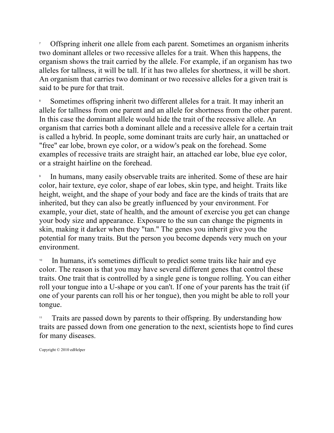7 Offspring inherit one allele from each parent. Sometimes an organism inherits two dominant alleles or two recessive alleles for a trait. When this happens, the organism shows the trait carried by the allele. For example, if an organism has two alleles for tallness, it will be tall. If it has two alleles for shortness, it will be short. An organism that carries two dominant or two recessive alleles for a given trait is said to be pure for that trait.

8 Sometimes offspring inherit two different alleles for a trait. It may inherit an allele for tallness from one parent and an allele for shortness from the other parent. In this case the dominant allele would hide the trait of the recessive allele. An organism that carries both a dominant allele and a recessive allele for a certain trait is called a hybrid. In people, some dominant traits are curly hair, an unattached or "free" ear lobe, brown eye color, or a widow's peak on the forehead. Some examples of recessive traits are straight hair, an attached ear lobe, blue eye color, or a straight hairline on the forehead.

9 In humans, many easily observable traits are inherited. Some of these are hair color, hair texture, eye color, shape of ear lobes, skin type, and height. Traits like height, weight, and the shape of your body and face are the kinds of traits that are inherited, but they can also be greatly influenced by your environment. For example, your diet, state of health, and the amount of exercise you get can change your body size and appearance. Exposure to the sun can change the pigments in skin, making it darker when they "tan." The genes you inherit give you the potential for many traits. But the person you become depends very much on your environment.

In humans, it's sometimes difficult to predict some traits like hair and eye color. The reason is that you may have several different genes that control these traits. One trait that is controlled by a single gene is tongue rolling. You can either roll your tongue into a U-shape or you can't. If one of your parents has the trait (if one of your parents can roll his or her tongue), then you might be able to roll your tongue.

Traits are passed down by parents to their offspring. By understanding how traits are passed down from one generation to the next, scientists hope to find cures for many diseases.

Copyright © 2010 edHelper